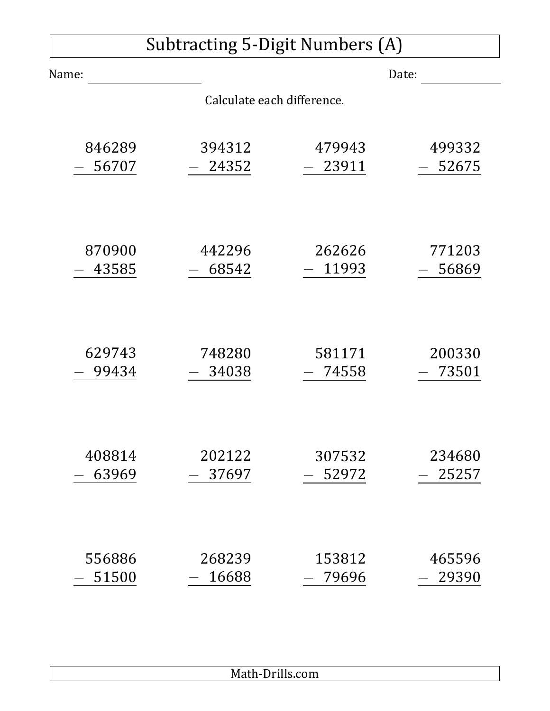| Subtracting 5-Digit Numbers (A) |                            |        |        |
|---------------------------------|----------------------------|--------|--------|
| Name:                           |                            |        | Date:  |
|                                 | Calculate each difference. |        |        |
| 846289                          | 394312                     | 479943 | 499332 |
| 56707                           | 24352                      | 23911  | 52675  |
| 870900                          | 442296                     | 262626 | 771203 |
| 43585                           | 68542                      | 11993  | 56869  |
| 629743                          | 748280                     | 581171 | 200330 |
| 99434                           | 34038                      | 74558  | 73501  |
| 408814                          | 202122                     | 307532 | 234680 |
| 63969                           | 37697                      | 52972  | 25257  |
| 556886                          | 268239                     | 153812 | 465596 |
| 51500                           | 16688                      | 79696  | 29390  |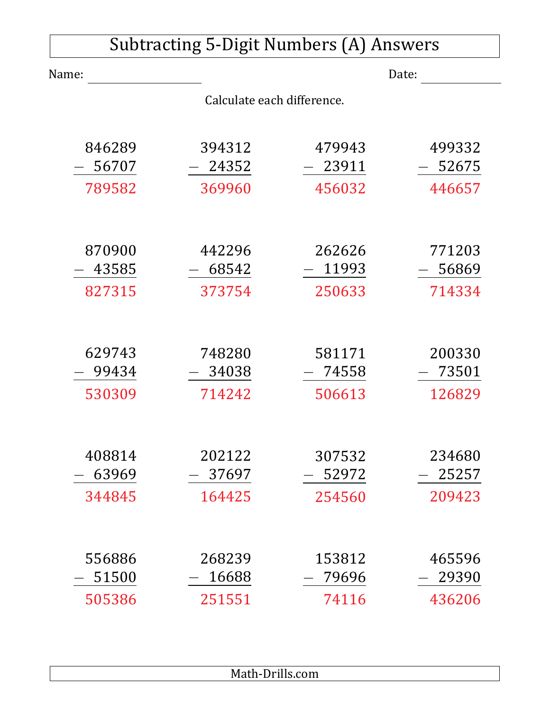| <b>Subtracting 5-Digit Numbers (A) Answers</b> |                            |                           |                           |  |
|------------------------------------------------|----------------------------|---------------------------|---------------------------|--|
| Name:                                          |                            |                           | Date:                     |  |
|                                                | Calculate each difference. |                           |                           |  |
| 846289<br>56707                                | 394312<br>24352            | 479943<br>23911           | 499332<br>52675           |  |
| 789582                                         | 369960                     | 456032                    | 446657                    |  |
| 870900<br>43585                                | 442296<br>68542            | 262626<br>11993           | 771203<br>56869           |  |
| 827315                                         | 373754                     | 250633                    | 714334                    |  |
| 629743<br>99434                                | 748280<br>34038            | 581171<br>74558           | 200330<br>73501           |  |
| 530309                                         | 714242                     | 506613                    | 126829                    |  |
| 408814<br>63969<br>344845                      | 202122<br>37697<br>164425  | 307532<br>52972<br>254560 | 234680<br>25257<br>209423 |  |
| 556886<br>51500<br>505386                      | 268239<br>16688<br>251551  | 153812<br>79696<br>74116  | 465596<br>29390<br>436206 |  |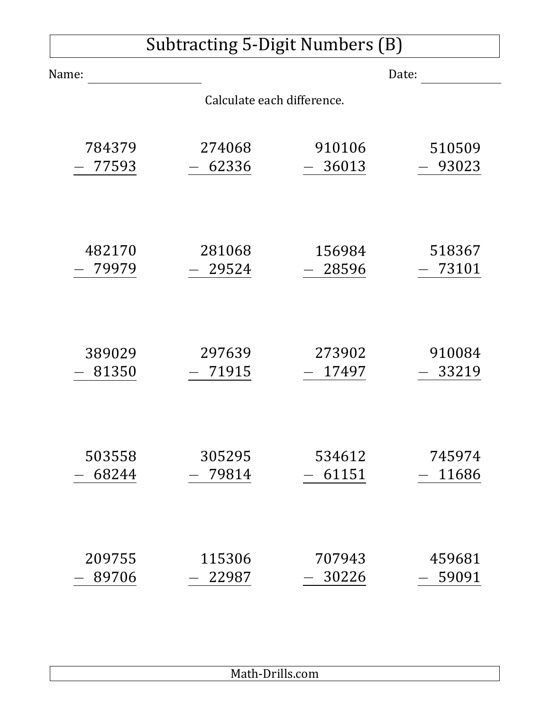| Subtracting 5-Digit Numbers (B) |                            |        |        |
|---------------------------------|----------------------------|--------|--------|
| Name:                           |                            |        | Date:  |
|                                 | Calculate each difference. |        |        |
| 784379                          | 274068                     | 910106 | 510509 |
| 77593                           | 62336                      | 36013  | 93023  |
| 482170                          | 281068                     | 156984 | 518367 |
| 79979                           | 29524                      | 28596  | 73101  |
| 389029                          | 297639                     | 273902 | 910084 |
| 81350                           | 71915                      | 17497  | 33219  |
| 503558                          | 305295                     | 534612 | 745974 |
| 68244                           | 79814                      | 61151  | 11686  |
| 209755                          | 115306                     | 707943 | 459681 |
| 89706                           | 22987                      | 30226  | 59091  |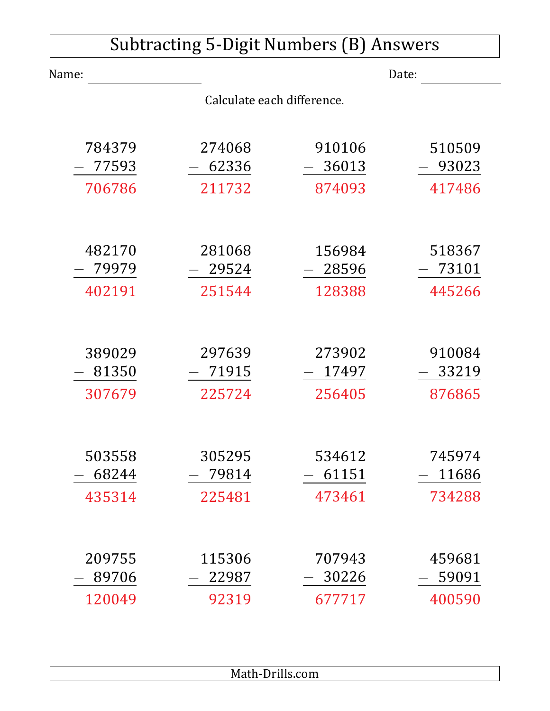| <b>Subtracting 5-Digit Numbers (B) Answers</b> |                            |         |        |  |
|------------------------------------------------|----------------------------|---------|--------|--|
| Name:                                          |                            |         | Date:  |  |
|                                                | Calculate each difference. |         |        |  |
|                                                |                            |         |        |  |
| 784379                                         | 274068                     | 910106  | 510509 |  |
| 77593                                          | 62336                      | 36013   | 93023  |  |
| 706786                                         | 211732                     | 874093  | 417486 |  |
|                                                |                            |         |        |  |
| 482170                                         | 281068                     | 156984  | 518367 |  |
| 79979                                          | 29524                      | 28596   | 73101  |  |
| 402191                                         | 251544                     | 128388  | 445266 |  |
|                                                |                            |         |        |  |
| 389029                                         | 297639                     | 273902  | 910084 |  |
| 81350                                          | 71915                      | - 17497 | 33219  |  |
| 307679                                         | 225724                     | 256405  | 876865 |  |
|                                                |                            |         |        |  |
| 503558                                         | 305295                     | 534612  | 745974 |  |
| 68244                                          | 79814                      | 61151   | 11686  |  |
| 435314                                         | 225481                     | 473461  | 734288 |  |
|                                                |                            |         |        |  |
| 209755                                         | 115306                     | 707943  | 459681 |  |
| 89706                                          | 22987                      | 30226   | 59091  |  |
| 120049                                         | 92319                      | 677717  | 400590 |  |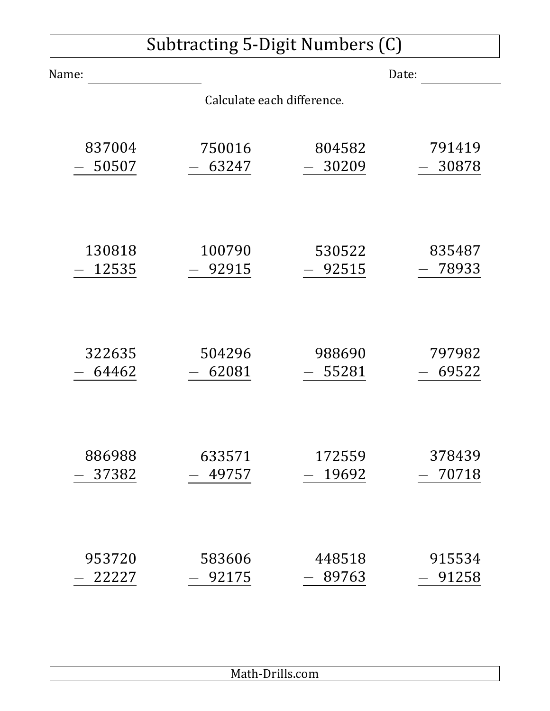|        | Subtracting 5-Digit Numbers (C) |                 |                 |
|--------|---------------------------------|-----------------|-----------------|
| Name:  |                                 |                 | Date:           |
|        | Calculate each difference.      |                 |                 |
|        |                                 |                 |                 |
| 837004 | 750016                          | 804582          | 791419          |
| 50507  | 63247                           | 30209           | 30878           |
|        |                                 |                 |                 |
|        |                                 |                 |                 |
| 130818 | 100790                          | 530522          | 835487          |
| 12535  | 92915                           | 92515           | 78933           |
|        |                                 |                 |                 |
|        |                                 |                 |                 |
| 322635 | 504296                          | 988690          | 797982          |
| 64462  | 62081                           | 55281           | 69522           |
|        |                                 |                 |                 |
|        |                                 |                 |                 |
| 886988 | 633571                          | 172559          | 378439          |
| 37382  | 49757                           | 19692           | 70718           |
|        |                                 |                 |                 |
|        |                                 |                 |                 |
| 953720 |                                 |                 |                 |
| 22227  | 583606<br>92175                 | 448518<br>89763 | 915534<br>91258 |
|        |                                 |                 |                 |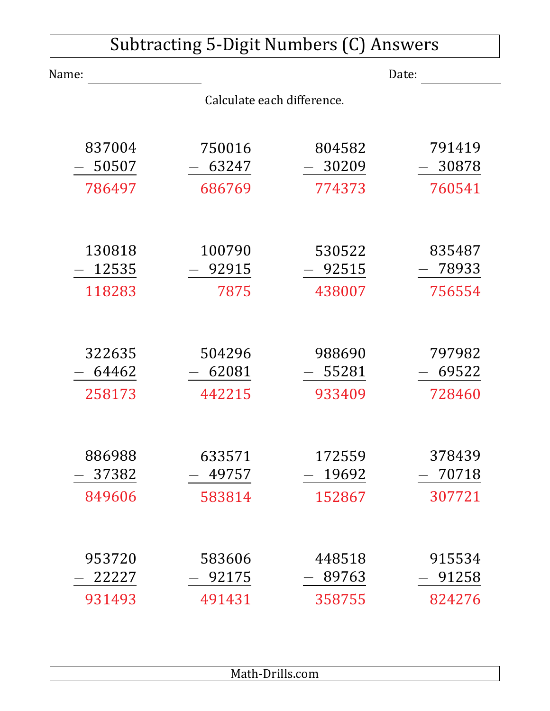| Subtracting 5-Digit Numbers (C) Answers |                            |        |        |  |
|-----------------------------------------|----------------------------|--------|--------|--|
| Name:                                   |                            |        | Date:  |  |
|                                         | Calculate each difference. |        |        |  |
| 837004                                  | 750016                     | 804582 | 791419 |  |
| 50507                                   | 63247                      | 30209  | 30878  |  |
| 786497                                  | 686769                     | 774373 | 760541 |  |
| 130818                                  | 100790                     | 530522 | 835487 |  |
| 12535                                   | 92915                      | 92515  | 78933  |  |
| 118283                                  | 7875                       | 438007 | 756554 |  |
| 322635                                  | 504296                     | 988690 | 797982 |  |
| 64462                                   | 62081                      | 55281  | 69522  |  |
| 258173                                  | 442215                     | 933409 | 728460 |  |
| 886988                                  | 633571                     | 172559 | 378439 |  |
| 37382                                   | 49757                      | 19692  | 70718  |  |
| 849606                                  | 583814                     | 152867 | 307721 |  |
| 953720                                  | 583606                     | 448518 | 915534 |  |
| 22227                                   | 92175                      | 89763  | 91258  |  |
| 931493                                  | 491431                     | 358755 | 824276 |  |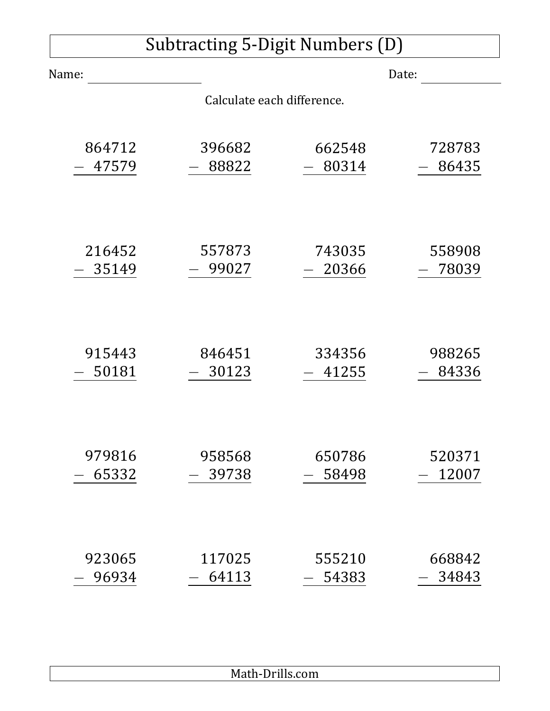| <b>Subtracting 5-Digit Numbers (D)</b> |                            |        |        |
|----------------------------------------|----------------------------|--------|--------|
| Name:                                  |                            |        | Date:  |
|                                        | Calculate each difference. |        |        |
| 864712                                 | 396682                     | 662548 | 728783 |
| 47579                                  | 88822                      | 80314  | 86435  |
| 216452                                 | 557873                     | 743035 | 558908 |
| 35149                                  | 99027                      | 20366  | 78039  |
| 915443                                 | 846451                     | 334356 | 988265 |
| 50181                                  | 30123                      | 41255  | 84336  |
| 979816                                 | 958568                     | 650786 | 520371 |
| 65332                                  | 39738                      | 58498  | 12007  |
| 923065                                 | 117025                     | 555210 | 668842 |
| 96934                                  | 64113                      | 54383  | 34843  |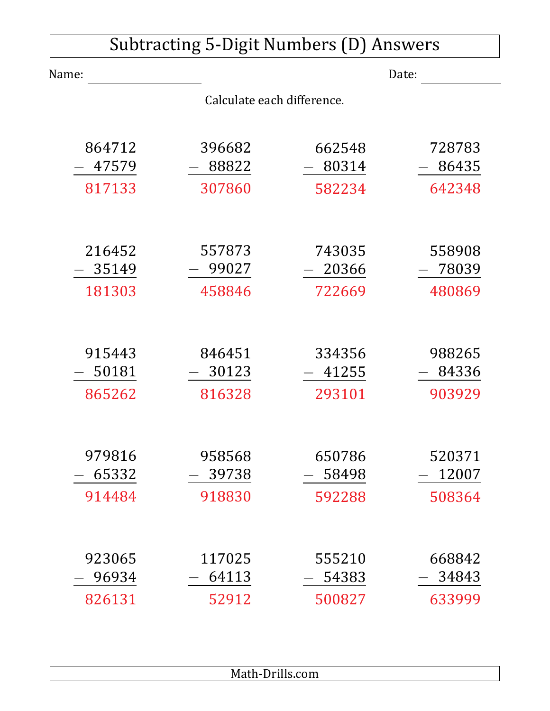| Subtracting 5-Digit Numbers (D) Answers |                            |        |        |  |
|-----------------------------------------|----------------------------|--------|--------|--|
| Name:                                   |                            |        | Date:  |  |
|                                         | Calculate each difference. |        |        |  |
|                                         |                            |        |        |  |
| 864712                                  | 396682                     | 662548 | 728783 |  |
| 47579                                   | 88822                      | 80314  | 86435  |  |
| 817133                                  | 307860                     | 582234 | 642348 |  |
|                                         |                            |        |        |  |
| 216452                                  | 557873                     | 743035 | 558908 |  |
| 35149                                   | 99027                      | 20366  | 78039  |  |
| 181303                                  | 458846                     | 722669 | 480869 |  |
|                                         |                            |        |        |  |
| 915443                                  | 846451                     | 334356 | 988265 |  |
| 50181                                   | 30123                      | 41255  | 84336  |  |
| 865262                                  | 816328                     | 293101 | 903929 |  |
|                                         |                            |        |        |  |
| 979816                                  | 958568                     | 650786 | 520371 |  |
| 65332                                   | 39738                      | 58498  | 12007  |  |
| 914484                                  | 918830                     | 592288 | 508364 |  |
|                                         |                            |        |        |  |
| 923065                                  | 117025                     | 555210 | 668842 |  |
| 96934                                   | 64113                      | 54383  | 34843  |  |
| 826131                                  | 52912                      | 500827 | 633999 |  |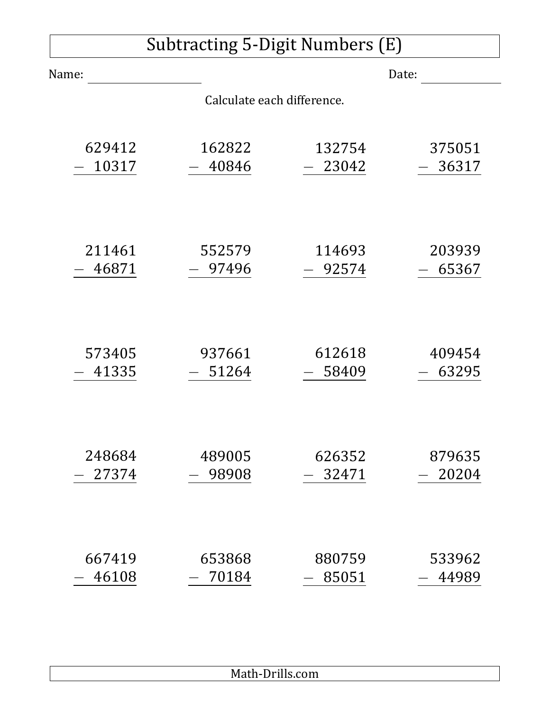| Subtracting 5-Digit Numbers (E) |                            |        |        |  |
|---------------------------------|----------------------------|--------|--------|--|
| Name:                           |                            |        | Date:  |  |
|                                 | Calculate each difference. |        |        |  |
| 629412                          | 162822                     | 132754 | 375051 |  |
| 10317                           | 40846                      | 23042  | 36317  |  |
| 211461                          | 552579                     | 114693 | 203939 |  |
| 46871                           | 97496                      | 92574  | 65367  |  |
| 573405                          | 937661                     | 612618 | 409454 |  |
| 41335                           | 51264                      | 58409  | 63295  |  |
| 248684                          | 489005                     | 626352 | 879635 |  |
| 27374                           | 98908                      | 32471  | 20204  |  |
| 667419                          | 653868                     | 880759 | 533962 |  |
| 46108                           | 70184                      | 85051  | 44989  |  |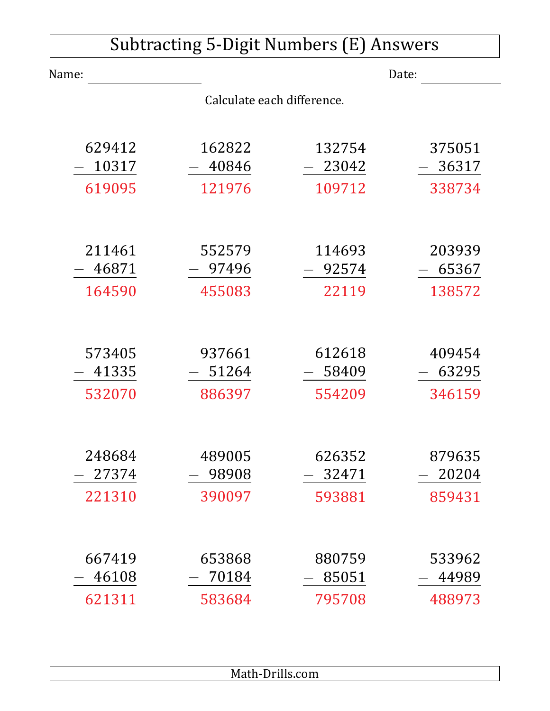| <b>Subtracting 5-Digit Numbers (E) Answers</b> |                            |                 |                 |  |
|------------------------------------------------|----------------------------|-----------------|-----------------|--|
| Name:                                          |                            |                 | Date:           |  |
|                                                | Calculate each difference. |                 |                 |  |
| 629412<br>10317                                | 162822<br>40846            | 132754<br>23042 | 375051<br>36317 |  |
| 619095                                         | 121976                     | 109712          | 338734          |  |
|                                                |                            |                 |                 |  |
| 211461                                         | 552579                     | 114693          | 203939          |  |
| 46871                                          | 97496                      | 92574           | 65367           |  |
| 164590                                         | 455083                     | 22119           | 138572          |  |
| 573405                                         | 937661                     | 612618          | 409454          |  |
| 41335                                          | 51264                      | 58409           | 63295           |  |
| 532070                                         | 886397                     | 554209          | 346159          |  |
| 248684                                         | 489005                     | 626352          | 879635          |  |
| 27374                                          | 98908                      | 32471           | 20204           |  |
| 221310                                         | 390097                     | 593881          | 859431          |  |
|                                                |                            |                 |                 |  |
| 667419                                         | 653868                     | 880759          | 533962          |  |
| 46108                                          | 70184                      | 85051           | 44989           |  |
| 621311                                         | 583684                     | 795708          | 488973          |  |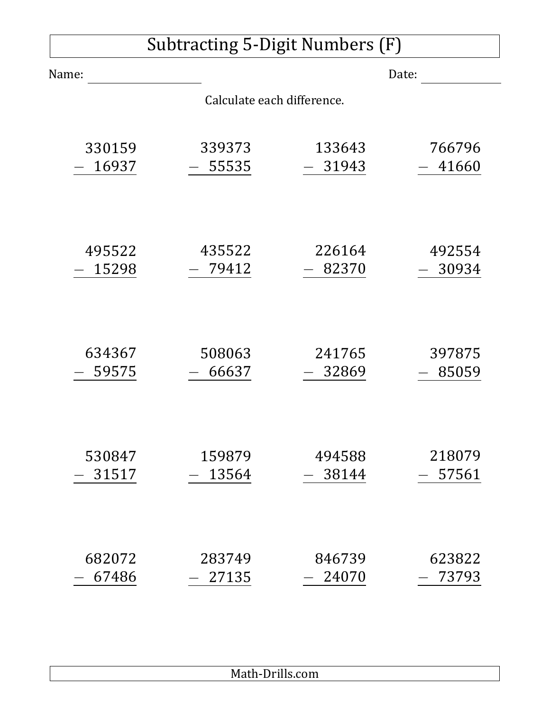| Subtracting 5-Digit Numbers (F) |                            |        |        |
|---------------------------------|----------------------------|--------|--------|
| Name:                           |                            |        | Date:  |
|                                 | Calculate each difference. |        |        |
| 330159                          | 339373                     | 133643 | 766796 |
| 16937                           | 55535                      | 31943  | 41660  |
| 495522                          | 435522                     | 226164 | 492554 |
| 15298                           | 79412                      | 82370  | 30934  |
| 634367                          | 508063                     | 241765 | 397875 |
| 59575                           | 66637                      | 32869  | 85059  |
| 530847                          | 159879                     | 494588 | 218079 |
| 31517                           | 13564                      | 38144  | 57561  |
| 682072                          | 283749                     | 846739 | 623822 |
| 67486                           | 27135                      | 24070  | 73793  |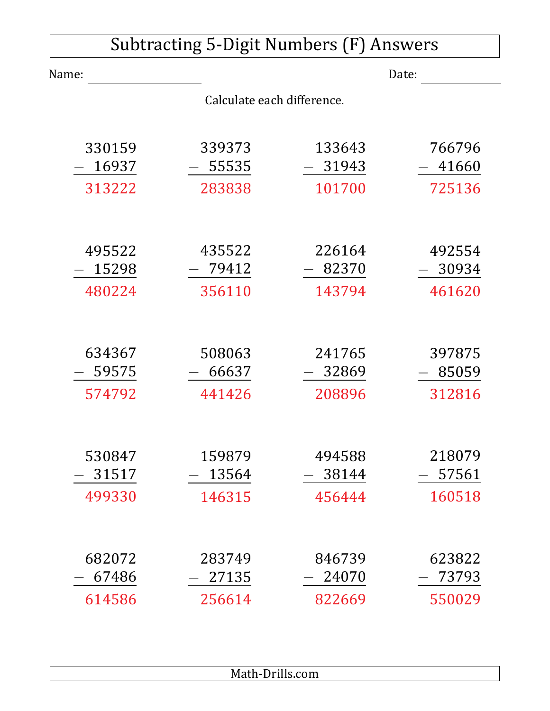| <b>Subtracting 5-Digit Numbers (F) Answers</b> |                            |                 |                 |  |
|------------------------------------------------|----------------------------|-----------------|-----------------|--|
| Name:                                          |                            |                 | Date:           |  |
|                                                | Calculate each difference. |                 |                 |  |
| 330159<br>16937                                | 339373<br>55535            | 133643<br>31943 | 766796<br>41660 |  |
| 313222                                         | 283838                     | 101700          | 725136          |  |
| 495522                                         | 435522                     | 226164          | 492554          |  |
| 15298                                          | 79412                      | 82370           | 30934           |  |
| 480224                                         | 356110                     | 143794          | 461620          |  |
|                                                |                            |                 |                 |  |
| 634367<br>59575                                | 508063<br>66637            | 241765<br>32869 | 397875<br>85059 |  |
| 574792                                         | 441426                     | 208896          | 312816          |  |
| 530847<br>31517                                | 159879<br>13564            | 494588<br>38144 | 218079<br>57561 |  |
| 499330                                         | 146315                     | 456444          | 160518          |  |
|                                                |                            |                 |                 |  |
| 682072<br>67486                                | 283749<br>27135            | 846739<br>24070 | 623822<br>73793 |  |
| 614586                                         | 256614                     | 822669          | 550029          |  |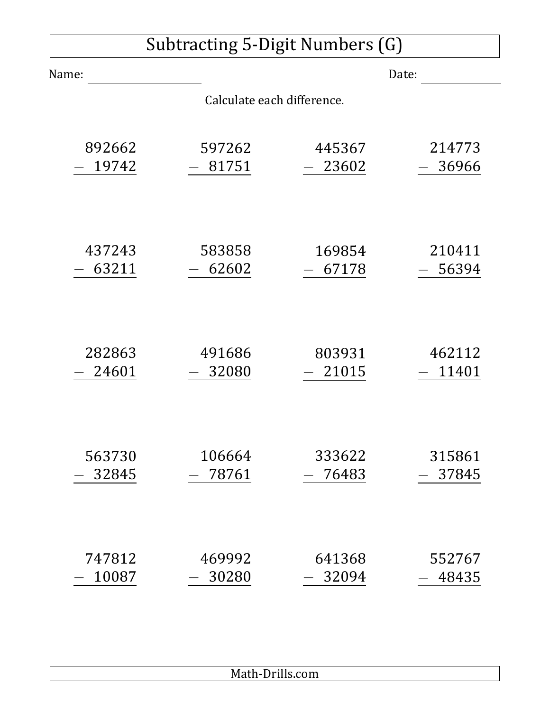| Subtracting 5-Digit Numbers (G) |                            |        |        |  |
|---------------------------------|----------------------------|--------|--------|--|
| Name:                           |                            |        | Date:  |  |
|                                 | Calculate each difference. |        |        |  |
| 892662                          | 597262                     | 445367 | 214773 |  |
| 19742                           | 81751                      | 23602  | 36966  |  |
| 437243                          | 583858                     | 169854 | 210411 |  |
| 63211                           | 62602                      | 67178  | 56394  |  |
| 282863                          | 491686                     | 803931 | 462112 |  |
| 24601                           | 32080                      | 21015  | 11401  |  |
| 563730                          | 106664                     | 333622 | 315861 |  |
| 32845                           | 78761                      | 76483  | 37845  |  |
| 747812                          | 469992                     | 641368 | 552767 |  |
| 10087                           | 30280                      | 32094  | 48435  |  |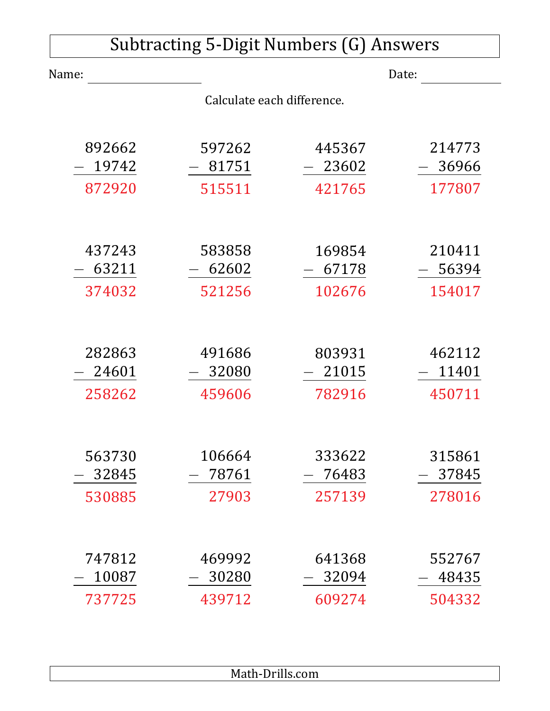| <b>Subtracting 5-Digit Numbers (G) Answers</b> |                            |                 |                 |  |
|------------------------------------------------|----------------------------|-----------------|-----------------|--|
| Name:                                          |                            |                 | Date:           |  |
|                                                | Calculate each difference. |                 |                 |  |
| 892662<br>19742                                | 597262<br>81751            | 445367<br>23602 | 214773<br>36966 |  |
| 872920                                         | 515511                     | 421765          | 177807          |  |
| 437243                                         | 583858                     | 169854          | 210411          |  |
| 63211<br>374032                                | 62602<br>521256            | 67178<br>102676 | 56394<br>154017 |  |
| 282863                                         | 491686                     | 803931          | 462112          |  |
| 24601                                          | 32080                      | 21015           | 11401           |  |
| 258262                                         | 459606                     | 782916          | 450711          |  |
|                                                |                            |                 |                 |  |
| 563730<br>32845                                | 106664<br>78761            | 333622<br>76483 | 315861<br>37845 |  |
| 530885                                         | 27903                      | 257139          | 278016          |  |
|                                                |                            |                 |                 |  |
| 747812<br>10087                                | 469992<br>30280            | 641368<br>32094 | 552767<br>48435 |  |
| 737725                                         | 439712                     | 609274          | 504332          |  |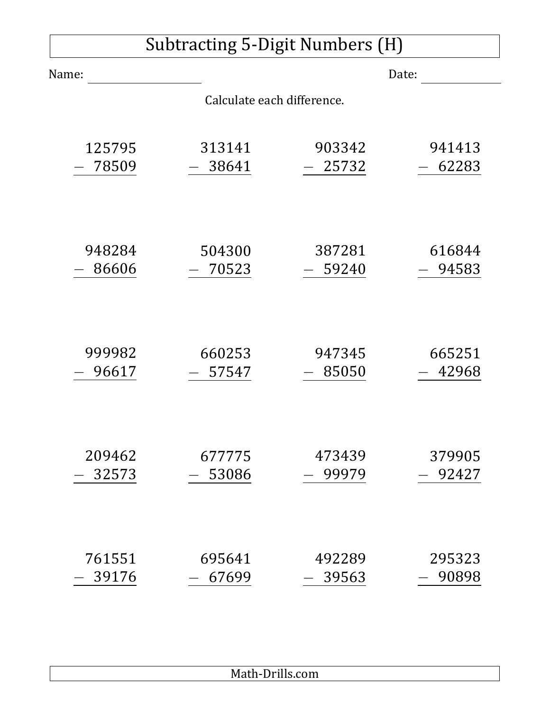| <b>Subtracting 5-Digit Numbers (H)</b> |                            |        |        |  |
|----------------------------------------|----------------------------|--------|--------|--|
| Name:                                  |                            |        | Date:  |  |
|                                        | Calculate each difference. |        |        |  |
| 125795                                 | 313141                     | 903342 | 941413 |  |
| 78509                                  | 38641                      | 25732  | 62283  |  |
| 948284                                 | 504300                     | 387281 | 616844 |  |
| 86606                                  | 70523                      | 59240  | 94583  |  |
| 999982                                 | 660253                     | 947345 | 665251 |  |
| 96617                                  | 57547                      | 85050  | 42968  |  |
| 209462                                 | 677775                     | 473439 | 379905 |  |
| 32573                                  | 53086                      | 99979  | 92427  |  |
| 761551                                 | 695641                     | 492289 | 295323 |  |
| 39176                                  | 67699                      | 39563  | 90898  |  |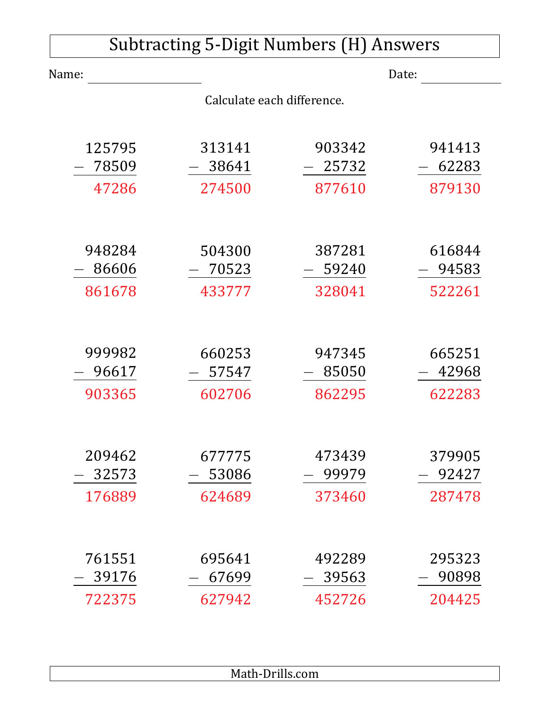| <b>Subtracting 5-Digit Numbers (H) Answers</b> |        |        |        |  |
|------------------------------------------------|--------|--------|--------|--|
| Name:                                          |        | Date:  |        |  |
| Calculate each difference.                     |        |        |        |  |
|                                                |        |        |        |  |
| 125795                                         | 313141 | 903342 | 941413 |  |
| 78509                                          | 38641  | 25732  | 62283  |  |
| 47286                                          | 274500 | 877610 | 879130 |  |
|                                                |        |        |        |  |
| 948284                                         | 504300 | 387281 | 616844 |  |
| 86606                                          | 70523  | 59240  | 94583  |  |
| 861678                                         | 433777 | 328041 | 522261 |  |
|                                                |        |        |        |  |
| 999982                                         | 660253 | 947345 | 665251 |  |
| 96617                                          | 57547  | 85050  | 42968  |  |
| 903365                                         | 602706 | 862295 | 622283 |  |
|                                                |        |        |        |  |
| 209462                                         | 677775 | 473439 | 379905 |  |
| 32573                                          | 53086  | 99979  | 92427  |  |
| 176889                                         | 624689 | 373460 | 287478 |  |
|                                                |        |        |        |  |
| 761551                                         | 695641 | 492289 | 295323 |  |
| 39176                                          | 67699  | 39563  | 90898  |  |
| 722375                                         | 627942 | 452726 | 204425 |  |
|                                                |        |        |        |  |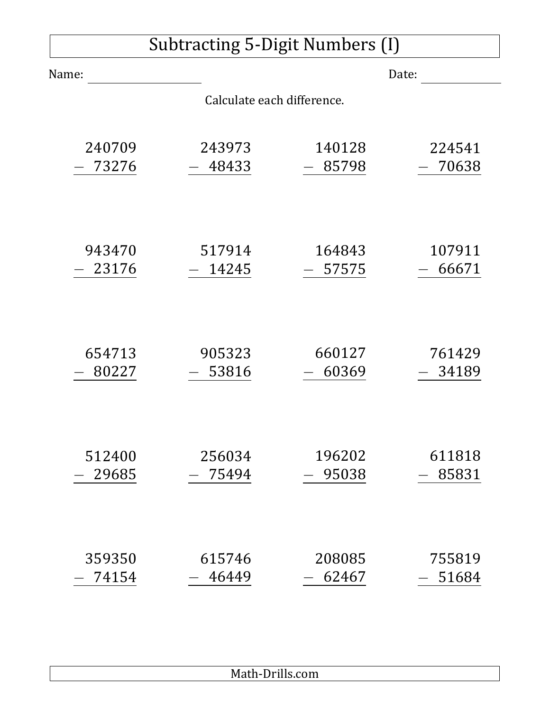| Subtracting 5-Digit Numbers (I) |                            |        |        |  |
|---------------------------------|----------------------------|--------|--------|--|
| Name:                           |                            |        | Date:  |  |
|                                 | Calculate each difference. |        |        |  |
| 240709                          | 243973                     | 140128 | 224541 |  |
| 73276                           | 48433                      | 85798  | 70638  |  |
| 943470                          | 517914                     | 164843 | 107911 |  |
| 23176                           | 14245                      | 57575  | 66671  |  |
| 654713                          | 905323                     | 660127 | 761429 |  |
| 80227                           | 53816                      | 60369  | 34189  |  |
| 512400                          | 256034                     | 196202 | 611818 |  |
| 29685                           | 75494                      | 95038  | 85831  |  |
| 359350                          | 615746                     | 208085 | 755819 |  |
| 74154                           | 46449                      | 62467  | 51684  |  |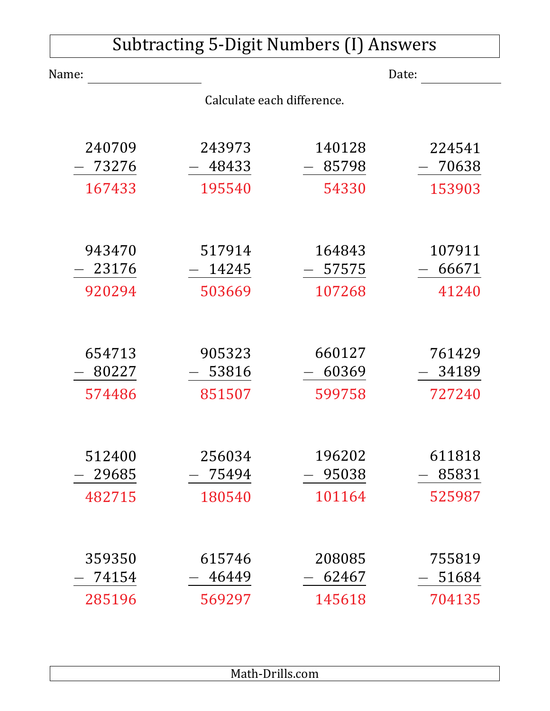| <b>Subtracting 5-Digit Numbers (I) Answers</b> |                            |                 |                 |  |
|------------------------------------------------|----------------------------|-----------------|-----------------|--|
| Name:                                          |                            |                 | Date:           |  |
|                                                | Calculate each difference. |                 |                 |  |
| 240709<br>73276                                | 243973<br>48433            | 140128<br>85798 | 224541<br>70638 |  |
| 167433                                         | 195540                     | 54330           | 153903          |  |
|                                                |                            |                 |                 |  |
| 943470                                         | 517914                     | 164843          | 107911          |  |
| 23176                                          | 14245                      | 57575           | 66671           |  |
| 920294                                         | 503669                     | 107268          | 41240           |  |
|                                                |                            |                 |                 |  |
| 654713                                         | 905323                     | 660127          | 761429          |  |
| 80227                                          | 53816                      | 60369           | 34189           |  |
| 574486                                         | 851507                     | 599758          | 727240          |  |
|                                                |                            |                 |                 |  |
| 512400                                         | 256034                     | 196202          | 611818          |  |
| 29685                                          | 75494                      | 95038           | 85831           |  |
| 482715                                         | 180540                     | 101164          | 525987          |  |
|                                                |                            |                 |                 |  |
| 359350                                         | 615746                     | 208085          | 755819          |  |
| 74154                                          | 46449                      | 62467           | 51684           |  |
| 285196                                         | 569297                     | 145618          | 704135          |  |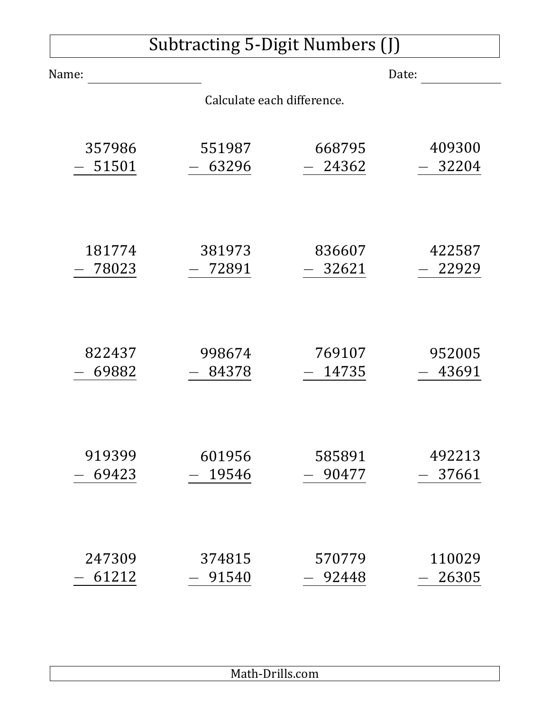| Subtracting 5-Digit Numbers (J) |                            |        |        |  |
|---------------------------------|----------------------------|--------|--------|--|
| Name:                           |                            |        | Date:  |  |
|                                 | Calculate each difference. |        |        |  |
| 357986                          | 551987                     | 668795 | 409300 |  |
| 51501                           | 63296                      | 24362  | 32204  |  |
| 181774                          | 381973                     | 836607 | 422587 |  |
| 78023                           | 72891                      | 32621  | 22929  |  |
| 822437                          | 998674                     | 769107 | 952005 |  |
| 69882                           | 84378                      | 14735  | 43691  |  |
| 919399                          | 601956                     | 585891 | 492213 |  |
| 69423                           | 19546                      | 90477  | 37661  |  |
| 247309                          | 374815                     | 570779 | 110029 |  |
| 61212                           | 91540                      | 92448  | 26305  |  |